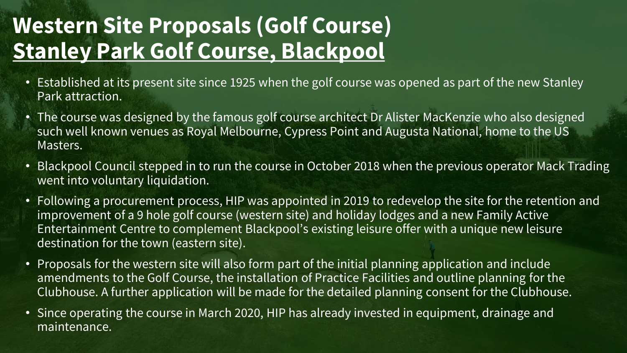# **Western Site Proposals (Golf Course) Stanley Park Golf Course, Blackpool**

- Established at its present site since 1925 when the golf course was opened as part of the new Stanley Park attraction.
- The course was designed by the famous golf course architect Dr Alister MacKenzie who also designed such well known venues as Royal Melbourne, Cypress Point and Augusta National, home to the US Masters.
- Blackpool Council stepped in to run the course in October 2018 when the previous operator Mack Trading went into voluntary liquidation.
- Following a procurement process, HIP was appointed in 2019 to redevelop the site for the retention and improvement of a 9 hole golf course (western site) and holiday lodges and a new Family Active Entertainment Centre to complement Blackpool's existing leisure offer with a unique new leisure destination for the town (eastern site).
- Proposals for the western site will also form part of the initial planning application and include amendments to the Golf Course, the installation of Practice Facilities and outline planning for the Clubhouse. A further application will be made for the detailed planning consent for the Clubhouse.
- Since operating the course in March 2020, HIP has already invested in equipment, drainage and maintenance.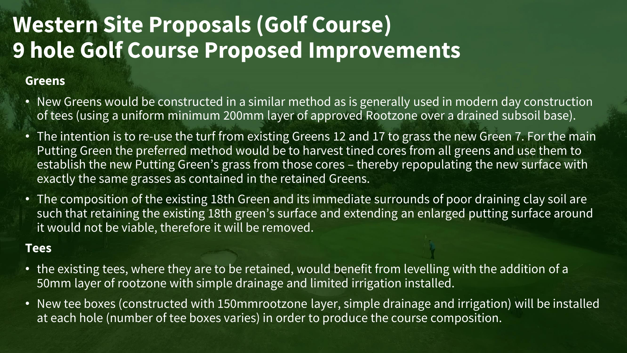# **Western Site Proposals (Golf Course) 9 hole Golf Course Proposed Improvements**

#### **Greens**

- New Greens would be constructed in a similar method as is generally used in modern day construction of tees (using a uniform minimum 200mm layer of approved Rootzone over a drained subsoil base).
- The intention is to re-use the turf from existing Greens 12 and 17 to grass the new Green 7. For the main Putting Green the preferred method would be to harvest tined cores from all greens and use them to establish the new Putting Green's grass from those cores – thereby repopulating the new surface with exactly the same grasses as contained in the retained Greens.
- The composition of the existing 18th Green and its immediate surrounds of poor draining clay soil are such that retaining the existing 18th green's surface and extending an enlarged putting surface around it would not be viable, therefore it will be removed.

#### **Tees**

- the existing tees, where they are to be retained, would benefit from levelling with the addition of a 50mm layer of rootzone with simple drainage and limited irrigation installed.
- New tee boxes (constructed with 150mmrootzone layer, simple drainage and irrigation) will be installed at each hole (number of tee boxes varies) in order to produce the course composition.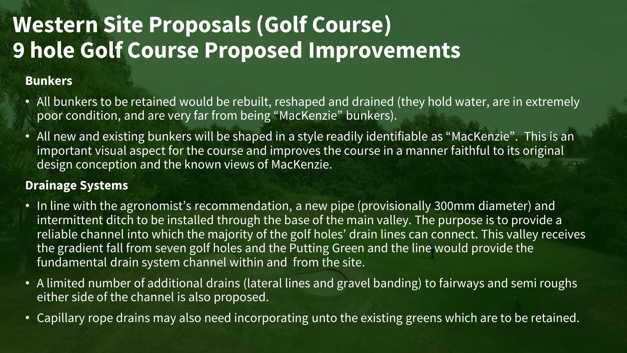# **Western Site Proposals (Golf Course) 9 hole Golf Course Proposed Improvements**

#### **Bunkers**

- All bunkers to be retained would be rebuilt, reshaped and drained (they hold water, are in extremely poor condition, and are very far from being "MacKenzie" bunkers).
- All new and existing bunkers will be shaped in a style readily identifiable as "MacKenzie". This is an important visual aspect for the course and improves the course in a manner faithful to its original design conception and the known views of MacKenzie.

### **Drainage Systems**

- In line with the agronomist's recommendation, a new pipe (provisionally 300mm diameter) and intermittent ditch to be installed through the base of the main valley. The purpose is to provide a reliable channel into which the majority of the golf holes' drain lines can connect. This valley receives the gradient fall from seven golf holes and the Putting Green and the line would provide the fundamental drain system channel within and from the site.
- A limited number of additional drains (lateral lines and gravel banding) to fairways and semi roughs either side of the channel is also proposed.
- Capillary rope drains may also need incorporating unto the existing greens which are to be retained.